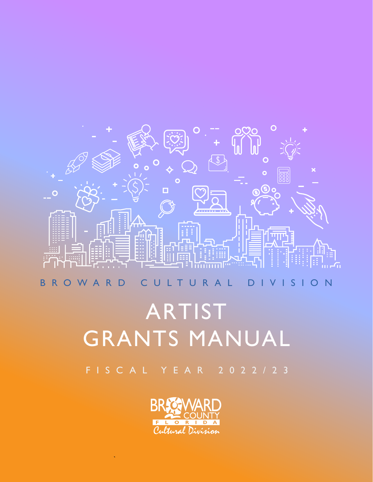

## ARTIST GRANTS MANUAL

FISCAL YEAR 2022/23

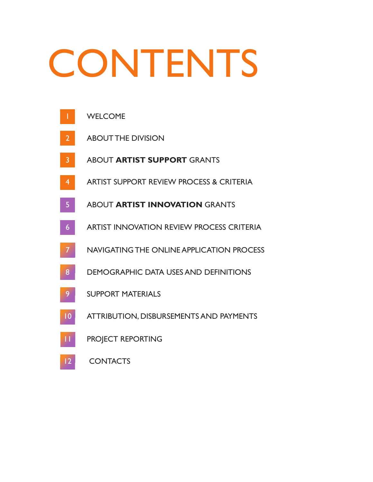# **CONTENTS**



CONTACTS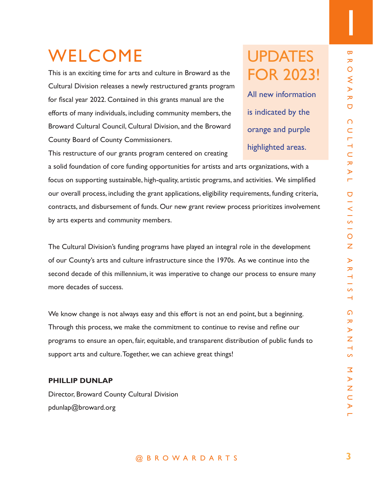1

## WELCOME

This is an exciting time for arts and culture in Broward as the Cultural Division releases a newly restructured grants program for fiscal year 2022. Contained in this grants manual are the efforts of many individuals, including community members, the Broward Cultural Council, Cultural Division, and the Broward County Board of County Commissioners.

## **UPDATES** FOR 2023!

All new information is indicated by the orange and purple highlighted areas.

This restructure of our grants program centered on creating

**E**<br> **E** and culture in Broward as the<br>
stand culture in Broward as the<br>
stand this grants manual are the<br>
standare community members, the<br>
interactions, and the Broward<br>
in this grants manual are the<br>
standing computing a solid foundation of core funding opportunities for artists and arts organizations, with a focus on supporting sustainable, high-quality, artistic programs, and activities. We simplified our overall process, including the grant applications, eligibility requirements, funding criteria, contracts, and disbursement of funds. Our new grant review process prioritizes involvement by arts experts and community members.

The Cultural Division's funding programs have played an integral role in the development of our County's arts and culture infrastructure since the 1970s. As we continue into the second decade of this millennium, it was imperative to change our process to ensure many more decades of success.

We know change is not always easy and this effort is not an end point, but a beginning. Through this process, we make the commitment to continue to revise and refine our programs to ensure an open, fair, equitable, and transparent distribution of public funds to support arts and culture. Together, we can achieve great things!

## **PHILLIP DUNLAP**

Director, Broward County Cultural Division pdunlap@broward.org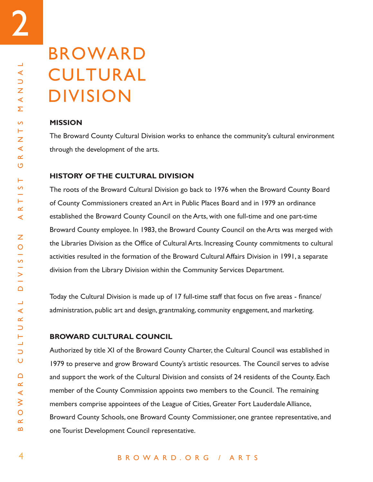2

## BROWARD CULTURAL DIVISION

## **MISSION**

The Broward County Cultural Division works to enhance the community's cultural environment through the development of the arts.

## **HISTORY OF THE CULTURAL DIVISION**

The roots of the Broward Cultural Division go back to 1976 when the Broward County Board of County Commissioners created an Art in Public Places Board and in 1979 an ordinance established the Broward County Council on the Arts, with one full-time and one part-time Broward County employee. In 1983, the Broward County Council on the Arts was merged with the Libraries Division as the Office of Cultural Arts. Increasing County commitments to cultural activities resulted in the formation of the Broward Cultural Affairs Division in 1991, a separate division from the Library Division within the Community Services Department.

Today the Cultural Division is made up of 17 full-time staff that focus on five areas - finance/ administration, public art and design, grantmaking, community engagement, and marketing.

## **BROWARD CULTURAL COUNCIL**

Authorized by title XI of the Broward County Charter, the Cultural Council was established in 1979 to preserve and grow Broward County's artistic resources. The Council serves to advise and support the work of the Cultural Division and consists of 24 residents of the County. Each member of the County Commission appoints two members to the Council. The remaining members comprise appointees of the League of Cities, Greater Fort Lauderdale Alliance, Broward County Schools, one Broward County Commissioner, one grantee representative, and one Tourist Development Council representative.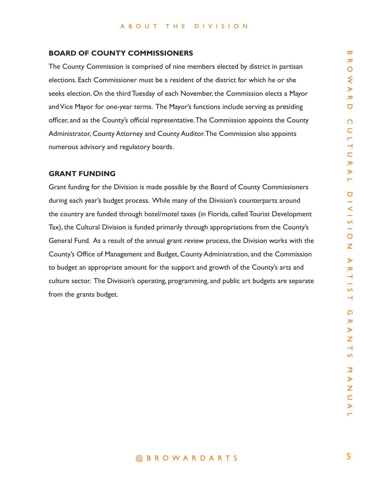### **BOARD OF COUNTY COMMISSIONERS**

The County Commission is comprised of nine members elected by district in partisan elections. Each Commissioner must be a resident of the district for which he or she seeks election. On the third Tuesday of each November, the Commission elects a Mayor and Vice Mayor for one-year terms. The Mayor's functions include serving as presiding officer, and as the County's official representative. The Commission appoints the County Administrator, County Attorney and County Auditor. The Commission also appoints numerous advisory and regulatory boards.

## **GRANT FUNDING**

**OMMISSIONERS**<br>
emorptised of the members elected by district in partisan<br>
must be a resident of the district for which he or she<br>
liesday of each November, the Commission elects a Mayor<br>
Terms. The Mayor's functions inclu Grant funding for the Division is made possible by the Board of County Commissioners during each year's budget process. While many of the Division's counterparts around the country are funded through hotel/motel taxes (in Florida, called Tourist Development Tax), the Cultural Division is funded primarily through appropriations from the County's General Fund. As a result of the annual grant review process, the Division works with the County's Office of Management and Budget, County Administration, and the Commission to budget an appropriate amount for the support and growth of the County's arts and culture sector. The Division's operating, programming, and public art budgets are separate from the grants budget.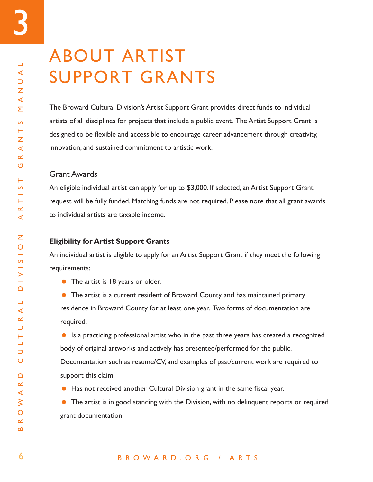## ABOUT ARTIST SUPPORT GRANTS

The Broward Cultural Division's Artist Support Grant provides direct funds to individual artists of all disciplines for projects that include a public event. The Artist Support Grant is designed to be flexible and accessible to encourage career advancement through creativity, innovation, and sustained commitment to artistic work.

## Grant Awards

An eligible individual artist can apply for up to \$3,000. If selected, an Artist Support Grant request will be fully funded. Matching funds are not required. Please note that all grant awards to individual artists are taxable income.

## **Eligibility for Artist Support Grants**

An individual artist is eligible to apply for an Artist Support Grant if they meet the following requirements:

• The artist is 18 years or older.

 The artist is a current resident of Broward County and has maintained primary residence in Broward County for at least one year. Two forms of documentation are required.

 Is a practicing professional artist who in the past three years has created a recognized body of original artworks and actively has presented/performed for the public. Documentation such as resume/CV, and examples of past/current work are required to support this claim.

Has not received another Cultural Division grant in the same fiscal year.

 The artist is in good standing with the Division, with no delinquent reports or required grant documentation.

## BROWARD.ORG / ARTS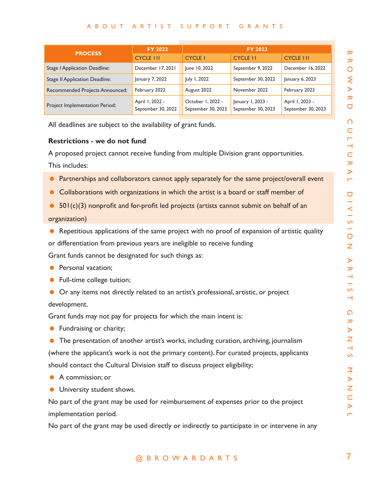### ABOUT ARTIST SUPPORT GRANTS

|                                                                                               | <b>FY 2022</b><br><b>FY 2023</b>      |                                         |                                         |                                       |  |  |
|-----------------------------------------------------------------------------------------------|---------------------------------------|-----------------------------------------|-----------------------------------------|---------------------------------------|--|--|
| <b>PROCESS</b>                                                                                | <b>CYCLE III</b>                      | <b>CYCLE I</b>                          | <b>CYCLE II</b>                         | <b>CYCLE III</b>                      |  |  |
| <b>Stage   Application Deadline:</b>                                                          | December 17, 2021                     | June 10, 2022                           | September 9, 2022                       | December 16, 2022                     |  |  |
| <b>Stage II Application Deadline:</b>                                                         | January 7, 2022                       | July 1, 2022                            | September 30, 2022                      | January 6, 2023                       |  |  |
| Recommended Projects Announced:                                                               | February 2022                         | August 2022                             | November 2022                           | February 2023                         |  |  |
| Project Implementation Period:                                                                | April 1, 2022 -<br>September 30, 2022 | October 1, 2022 -<br>September 30, 2023 | January 1, 2023 -<br>September 30, 2023 | April 1, 2023 -<br>September 30, 2023 |  |  |
| All deadlines are subject to the availability of grant funds.                                 |                                       |                                         |                                         |                                       |  |  |
| <b>Restrictions - we do not fund</b>                                                          |                                       |                                         |                                         |                                       |  |  |
| A proposed project cannot receive funding from multiple Division grant opportunities.         |                                       |                                         |                                         |                                       |  |  |
| This includes:                                                                                |                                       |                                         |                                         |                                       |  |  |
| Partnerships and collaborators cannot apply separately for the same project/overall event     |                                       |                                         |                                         |                                       |  |  |
| Collaborations with organizations in which the artist is a board or staff member of           |                                       |                                         |                                         |                                       |  |  |
| $501(c)(3)$ nonprofit and for-profit led projects (artists cannot submit on behalf of an      |                                       |                                         |                                         |                                       |  |  |
| organization)                                                                                 |                                       |                                         |                                         |                                       |  |  |
|                                                                                               |                                       |                                         |                                         |                                       |  |  |
| Repetitious applications of the same project with no proof of expansion of artistic quality   |                                       |                                         |                                         |                                       |  |  |
| or differentiation from previous years are ineligible to receive funding                      |                                       |                                         |                                         |                                       |  |  |
| Grant funds cannot be designated for such things as:                                          |                                       |                                         |                                         |                                       |  |  |
| Personal vacation;                                                                            |                                       |                                         |                                         |                                       |  |  |
| Full-time college tuition;                                                                    |                                       |                                         |                                         |                                       |  |  |
| Or any items not directly related to an artist's professional, artistic, or project           |                                       |                                         |                                         |                                       |  |  |
| development.                                                                                  |                                       |                                         |                                         |                                       |  |  |
| Grant funds may not pay for projects for which the main intent is:                            |                                       |                                         |                                         |                                       |  |  |
| Fundraising or charity;                                                                       |                                       |                                         |                                         |                                       |  |  |
| The presentation of another artist's works, including curation, archiving, journalism         |                                       |                                         |                                         |                                       |  |  |
| (where the applicant's work is not the primary content). For curated projects, applicants     |                                       |                                         |                                         |                                       |  |  |
| should contact the Cultural Division staff to discuss project eligibility;                    |                                       |                                         |                                         |                                       |  |  |
| A commission; or                                                                              |                                       |                                         |                                         |                                       |  |  |
| University student shows.                                                                     |                                       |                                         |                                         |                                       |  |  |
| No part of the grant may be used for reimbursement of expenses prior to the project           |                                       |                                         |                                         |                                       |  |  |
| implementation period.                                                                        |                                       |                                         |                                         |                                       |  |  |
| No part of the grant may be used directly or indirectly to participate in or intervene in any |                                       |                                         |                                         |                                       |  |  |
|                                                                                               |                                       |                                         |                                         |                                       |  |  |
|                                                                                               |                                       | @ B R O W A R D A R T S                 |                                         |                                       |  |  |

### **Restrictions - we do not fund**

- **•** Partnerships and collaborators cannot apply separately for the same project/overall event
- Collaborations with organizations in which the artist is a board or staff member of
- $\bullet$  501(c)(3) nonprofit and for-profit led projects (artists cannot submit on behalf of an

## organization)

- **Personal vacation;**
- **•** Full-time college tuition;
- Or any items not directly related to an artist's professional, artistic, or project development.

- **•** Fundraising or charity;
- The presentation of another artist's works, including curation, archiving, journalism (where the applicant's work is not the primary content). For curated projects, applicants should contact the Cultural Division staff to discuss project eligibility;
- A commission; or
- **University student shows.**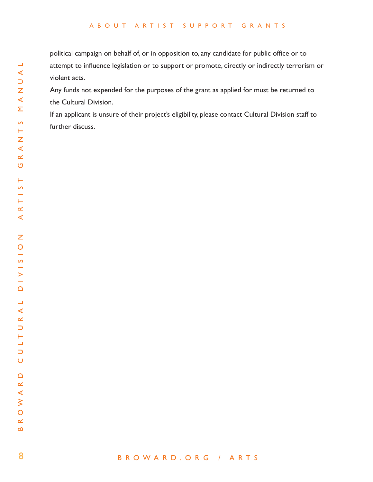### ABOUT ARTIST SUPPORT GRANTS

political campaign on behalf of, or in opposition to, any candidate for public office or to attempt to influence legislation or to support or promote, directly or indirectly terrorism or violent acts.

Any funds not expended for the purposes of the grant as applied for must be returned to the Cultural Division.

If an applicant is unsure of their project's eligibility, please contact Cultural Division staff to further discuss.

8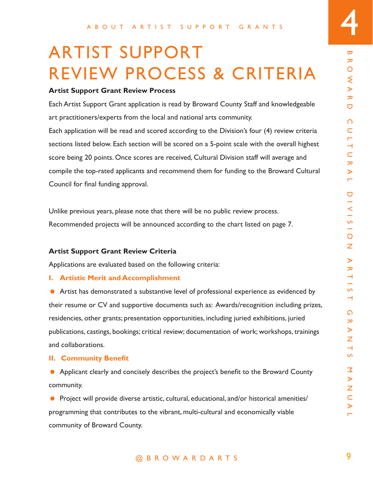## ARTIST SUPPORT REVIEW PROCESS & CRITERIA

## **Artist Support Grant Review Process**

Each Artist Support Grant application is read by Broward County Staff and knowledgeable art practitioners/experts from the local and national arts community.

Each application will be read and scored according to the Division's four (4) review criteria sections listed below. Each section will be scored on a 5-point scale with the overall highest score being 20 points. Once scores are received, Cultural Division staff will average and compile the top-rated applicants and recommend them for funding to the Broward Cultural Council for final funding approval.

Unlike previous years, please note that there will be no public review process. Recommended projects will be announced according to the chart listed on page 7.

## **Artist Support Grant Review Criteria**

Applications are evaluated based on the following criteria:

## **I. Artistic Merit and Accomplishment**

**PPURIMERE**<br> **Example 18 A R O RESS & CRITERIA**<br>
Sever Process<br>
plication is read by Broward County Staff and knowledgeable<br>
the local and national arts community.<br>
and scored according to the Divisions four (4) review cri Artist has demonstrated a substantive level of professional experience as evidenced by their resume or CV and supportive documents such as: Awards/recognition including prizes, residencies, other grants; presentation opportunities, including juried exhibitions, juried publications, castings, bookings; critical review; documentation of work; workshops, trainings and collaborations.

## **II. Community Benefit**

 Applicant clearly and concisely describes the project's benefit to the Broward County community.

**•** Project will provide diverse artistic, cultural, educational, and/or historical amenities/ programming that contributes to the vibrant, multi-cultural and economically viable community of Broward County.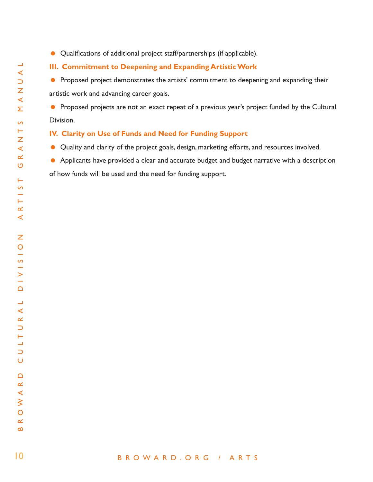Qualifications of additional project staff/partnerships (if applicable).

## **III. Commitment to Deepening and Expanding Artistic Work**

**•** Proposed project demonstrates the artists' commitment to deepening and expanding their artistic work and advancing career goals.

**•** Proposed projects are not an exact repeat of a previous year's project funded by the Cultural Division.

## **IV. Clarity on Use of Funds and Need for Funding Support**

- Quality and clarity of the project goals, design, marketing efforts, and resources involved.
- **•** Applicants have provided a clear and accurate budget and budget narrative with a description of how funds will be used and the need for funding support.

## BROWARD.ORG / ARTS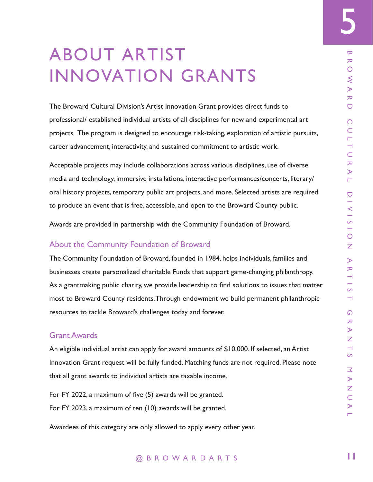## ABOUT ARTIST INNOVATION GRANTS

The Broward Cultural Division's Artist Innovation Grant provides direct funds to professional/ established individual artists of all disciplines for new and experimental art projects. The program is designed to encourage risk-taking, exploration of artistic pursuits, career advancement, interactivity, and sustained commitment to artistic work.

Acceptable projects may include collaborations across various disciplines, use of diverse media and technology, immersive installations, interactive performances/concerts, literary/ oral history projects, temporary public art projects, and more. Selected artists are required to produce an event that is free, accessible, and open to the Broward County public.

Awards are provided in partnership with the Community Foundation of Broward.

## About the Community Foundation of Broward

**PONTABRANTS**<br> **EXPLANTS**<br> **EXPLANTS**<br> **EXPLANTS**<br> **EXPLANTS**<br> **EXPLANTS**<br> **EXPLANTS**<br> **EXPLANTS**<br> **EXPLANTS**<br> **EXPLANTS**<br> **EXPLANTS**<br> **EXPLANTS**<br> **EXPLANTS**<br> **EXPLANTS**<br> **EXPLANTS**<br> **EXPLANTS**<br> **EXPLANTS**<br> **EXPLANTS**<br> **E** The Community Foundation of Broward, founded in 1984, helps individuals, families and businesses create personalized charitable Funds that support game-changing philanthropy. As a grantmaking public charity, we provide leadership to find solutions to issues that matter most to Broward County residents. Through endowment we build permanent philanthropic resources to tackle Broward's challenges today and forever.

## Grant Awards

An eligible individual artist can apply for award amounts of \$10,000. If selected, an Artist Innovation Grant request will be fully funded. Matching funds are not required. Please note that all grant awards to individual artists are taxable income.

For FY 2022, a maximum of five (5) awards will be granted. For FY 2023, a maximum of ten (10) awards will be granted.

Awardees of this category are only allowed to apply every other year.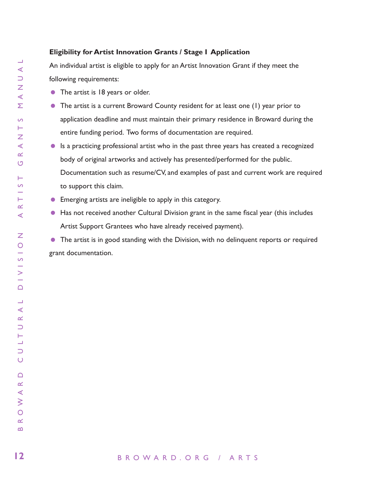## **Eligibility for Artist Innovation Grants / Stage I Application**

An individual artist is eligible to apply for an Artist Innovation Grant if they meet the following requirements:

- The artist is 18 years or older.
- The artist is a current Broward County resident for at least one (1) year prior to application deadline and must maintain their primary residence in Broward during the entire funding period. Two forms of documentation are required.
- Is a practicing professional artist who in the past three years has created a recognized body of original artworks and actively has presented/performed for the public. Documentation such as resume/CV, and examples of past and current work are required to support this claim.
- Emerging artists are ineligible to apply in this category.
- Has not received another Cultural Division grant in the same fiscal year (this includes Artist Support Grantees who have already received payment).

**•** The artist is in good standing with the Division, with no delinguent reports or required grant documentation.

 $\blacktriangleleft$ 

 $\equiv$  $\triangleleft$  $\cup$ Z  $\prec$ Σ

 $\overline{a}$ Н Z  $\blacktriangleleft$  $\propto$ U

Н  $\Omega$ 

H.  $\propto$  $\triangleleft$ 

Ζ  $\overline{O}$  $\frac{1}{\infty}$ ÷  $\geq$  $\Box$ 

 $\Box$  $\prec$  $\propto$  $\cup$ 

Щ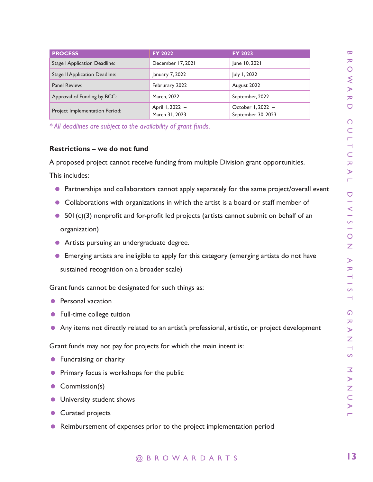| <b>PROCESS</b>                                                                                 | FY 2022                           | FY 2023                                 | $\boldsymbol{\varpi}$      |  |  |
|------------------------------------------------------------------------------------------------|-----------------------------------|-----------------------------------------|----------------------------|--|--|
| <b>Stage   Application Deadline:</b>                                                           | December 17, 2021                 | June 10, 2021                           | ᅎ                          |  |  |
| <b>Stage II Application Deadline:</b>                                                          | January 7, 2022                   | July 1, 2022                            | O                          |  |  |
| Panel Review:                                                                                  | Februrary 2022                    | August 2022                             | ξ<br>$\blacktriangleright$ |  |  |
| Approval of Funding by BCC:                                                                    | March, 2022                       | September, 2022                         | ᅎ                          |  |  |
| Project Implementation Period:                                                                 | April 1, 2022 -<br>March 31, 2023 | October 1, 2022 -<br>September 30, 2023 | U                          |  |  |
| * All deadlines are subject to the availability of grant funds.                                |                                   |                                         | $\Omega$<br>C              |  |  |
|                                                                                                |                                   |                                         | ┍                          |  |  |
| <b>Restrictions - we do not fund</b>                                                           |                                   |                                         | ⊣<br>$\subset$             |  |  |
| A proposed project cannot receive funding from multiple Division grant opportunities.          |                                   |                                         | ᅎ                          |  |  |
| This includes:                                                                                 |                                   |                                         | ⋗<br>Ē.                    |  |  |
| Partnerships and collaborators cannot apply separately for the same project/overall event      |                                   |                                         | U                          |  |  |
| Collaborations with organizations in which the artist is a board or staff member of            |                                   |                                         |                            |  |  |
| $501(c)(3)$ nonprofit and for-profit led projects (artists cannot submit on behalf of an       |                                   |                                         |                            |  |  |
| organization)                                                                                  |                                   |                                         |                            |  |  |
| Artists pursuing an undergraduate degree.                                                      |                                   |                                         |                            |  |  |
|                                                                                                |                                   |                                         | Ζ                          |  |  |
| Emerging artists are ineligible to apply for this category (emerging artists do not have       |                                   |                                         |                            |  |  |
| sustained recognition on a broader scale)                                                      |                                   |                                         | ᅎ<br>ᅴ                     |  |  |
| Grant funds cannot be designated for such things as:                                           |                                   |                                         | S                          |  |  |
| Personal vacation                                                                              |                                   |                                         | ⊣                          |  |  |
| Full-time college tuition                                                                      |                                   |                                         | ഩ                          |  |  |
| • Any items not directly related to an artist's professional, artistic, or project development |                                   |                                         |                            |  |  |
|                                                                                                |                                   |                                         | ⋗<br>Ζ                     |  |  |
| Grant funds may not pay for projects for which the main intent is:                             |                                   |                                         | ⊣                          |  |  |
| Fundraising or charity<br>$\bullet$                                                            |                                   |                                         | S                          |  |  |
| Primary focus is workshops for the public                                                      |                                   |                                         |                            |  |  |
| Commission(s)<br>$\bullet$                                                                     |                                   |                                         |                            |  |  |
| University student shows                                                                       |                                   |                                         | $\subset$                  |  |  |
| Curated projects                                                                               |                                   |                                         | ⋗<br>┍                     |  |  |
| Reimbursement of expenses prior to the project implementation period                           |                                   |                                         |                            |  |  |
|                                                                                                |                                   |                                         |                            |  |  |
|                                                                                                | @ B R O W A R D A R T S           |                                         | 13                         |  |  |

## **Restrictions – we do not fund**

- **•** Partnerships and collaborators cannot apply separately for the same project/overall event
- Collaborations with organizations in which the artist is a board or staff member of
- 501(c)(3) nonprofit and for-profit led projects (artists cannot submit on behalf of an organization)
- Artists pursuing an undergraduate degree.
- Emerging artists are ineligible to apply for this category (emerging artists do not have sustained recognition on a broader scale)

- **•** Personal vacation
- Full-time college tuition
- Any items not directly related to an artist's professional, artistic, or project development

- **•** Fundraising or charity
- **•** Primary focus is workshops for the public
- Commission(s)
- **University student shows**
- Curated projects
- Reimbursement of expenses prior to the project implementation period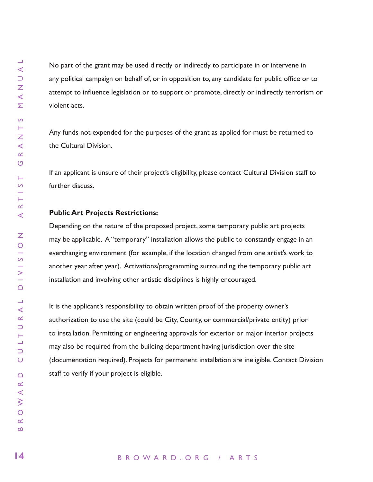No part of the grant may be used directly or indirectly to participate in or intervene in any political campaign on behalf of, or in opposition to, any candidate for public office or to attempt to influence legislation or to support or promote, directly or indirectly terrorism or violent acts.

Any funds not expended for the purposes of the grant as applied for must be returned to the Cultural Division.

If an applicant is unsure of their project's eligibility, please contact Cultural Division staff to further discuss.

## **Public Art Projects Restrictions:**

Depending on the nature of the proposed project, some temporary public art projects may be applicable. A "temporary" installation allows the public to constantly engage in an everchanging environment (for example, if the location changed from one artist's work to another year after year). Activations/programming surrounding the temporary public art installation and involving other artistic disciplines is highly encouraged.

It is the applicant's responsibility to obtain written proof of the property owner's authorization to use the site (could be City, County, or commercial/private entity) prior to installation. Permitting or engineering approvals for exterior or major interior projects may also be required from the building department having jurisdiction over the site (documentation required). Projects for permanent installation are ineligible. Contact Division staff to verify if your project is eligible.

## BROWARD.ORG / ARTS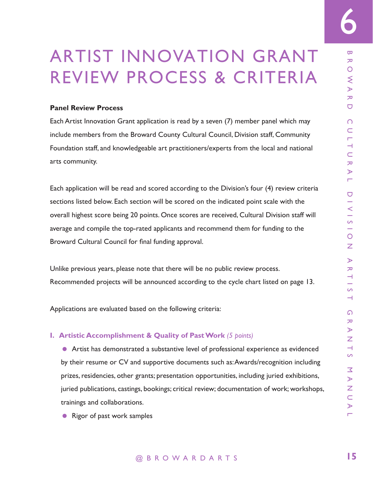## ARTIST INNOVATION GRANT REVIEW PROCESS & CRITERIA

## **Panel Review Process**

Each Artist Innovation Grant application is read by a seven (7) member panel which may include members from the Broward County Cultural Council, Division staff, Community Foundation staff, and knowledgeable art practitioners/experts from the local and national arts community.

Each application will be read and scored according to the Division's four (4) review criteria sections listed below. Each section will be scored on the indicated point scale with the overall highest score being 20 points. Once scores are received, Cultural Division staff will average and compile the top-rated applicants and recommend them for funding to the Broward Cultural Council for final funding approval.

Unlike previous years, please note that there will be no public review process. Recommended projects will be announced according to the cycle chart listed on page 13.

Applications are evaluated based on the following criteria:

### **I. Artistic Accomplishment & Quality of Past Work** *(5 points)*

**EXECUTE AND SERVIT CONDUCTS AND ARTIC AND ARTIC AND A REPORT ON CONSIDENT AND A REPORT OF A REPORT ON A RURAL PHOTOGRAPHOTEN CONDUCT AND CULTURAL DIVISION STAFF, COMMUNITY CULTURAL ARTIST CHANNED ARTIST CONDUCT AND CULTU**  Artist has demonstrated a substantive level of professional experience as evidenced by their resume or CV and supportive documents such as: Awards/recognition including prizes, residencies, other grants; presentation opportunities, including juried exhibitions, juried publications, castings, bookings; critical review; documentation of work; workshops, trainings and collaborations.

• Rigor of past work samples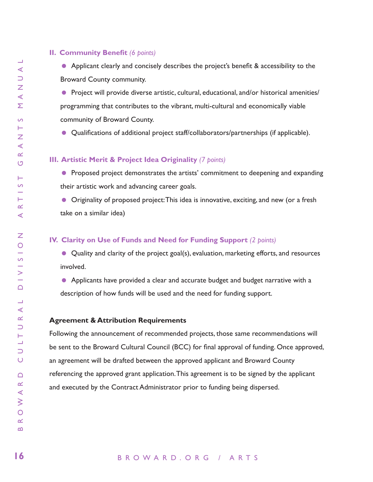## **II. Community Benefit** *(6 points)*

• Applicant clearly and concisely describes the project's benefit & accessibility to the Broward County community.

● Project will provide diverse artistic, cultural, educational, and/or historical amenities/ programming that contributes to the vibrant, multi-cultural and economically viable community of Broward County.

Qualifications of additional project staff/collaborators/partnerships (if applicable).

## **III. Artistic Merit & Project Idea Originality** *(7 points)*

**• Proposed project demonstrates the artists' commitment to deepening and expanding** their artistic work and advancing career goals.

 Originality of proposed project: This idea is innovative, exciting, and new (or a fresh take on a similar idea)

### **IV. Clarity on Use of Funds and Need for Funding Support** *(2 points)*

 Quality and clarity of the project goal(s), evaluation, marketing efforts, and resources involved.

 Applicants have provided a clear and accurate budget and budget narrative with a description of how funds will be used and the need for funding support.

### **Agreement & Attribution Requirements**

Following the announcement of recommended projects, those same recommendations will be sent to the Broward Cultural Council (BCC) for final approval of funding. Once approved, an agreement will be drafted between the approved applicant and Broward County referencing the approved grant application. This agreement is to be signed by the applicant and executed by the Contract Administrator prior to funding being dispersed.

### BROWARD.ORG / ARTS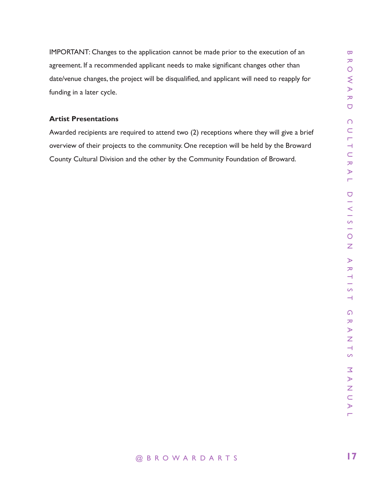application cannot be made prior to the execution of an<br>applicant reeds to make significant changes other than<br> $\bigcirc$ <br>act will be disqualified and applicant will need to reapply for<br> $\bigcirc$ <br> $\bigcirc$ <br>ored to attend two (2) recep IMPORTANT: Changes to the application cannot be made prior to the execution of an agreement. If a recommended applicant needs to make significant changes other than date/venue changes, the project will be disqualified, and applicant will need to reapply for funding in a later cycle.

## **Artist Presentations**

Awarded recipients are required to attend two (2) receptions where they will give a brief overview of their projects to the community. One reception will be held by the Broward County Cultural Division and the other by the Community Foundation of Broward.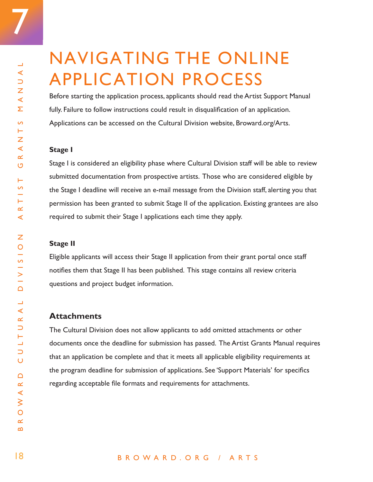7

## NAVIGATING THE ONLINE APPLICATION PROCESS

Before starting the application process, applicants should read the Artist Support Manual fully. Failure to follow instructions could result in disqualification of an application. Applications can be accessed on the Cultural Division website, Broward.org/Arts.

## **Stage I**

Stage I is considered an eligibility phase where Cultural Division staff will be able to review submitted documentation from prospective artists. Those who are considered eligible by the Stage I deadline will receive an e-mail message from the Division staff, alerting you that permission has been granted to submit Stage II of the application. Existing grantees are also required to submit their Stage I applications each time they apply.

### **Stage II**

Eligible applicants will access their Stage II application from their grant portal once staff notifies them that Stage II has been published. This stage contains all review criteria questions and project budget information.

## **Attachments**

The Cultural Division does not allow applicants to add omitted attachments or other documents once the deadline for submission has passed. The Artist Grants Manual requires that an application be complete and that it meets all applicable eligibility requirements at the program deadline for submission of applications. See 'Support Materials' for specifics regarding acceptable file formats and requirements for attachments.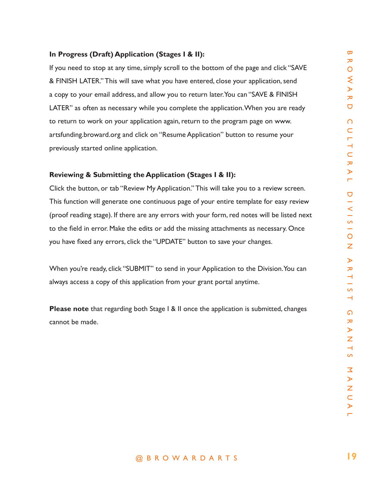## **In Progress (Draft) Application (Stages I & II):**

ation (Stages 1 & II):<br>
se, simply scroll to the bottom of the page and click "SAVE  $\infty$ <br>
sever what you to return hater. You can "SAVE & FINISH  $\geq$ <br>
and allow you to return hater. You can "SAVE & FINISH  $\geq$ <br>
while y If you need to stop at any time, simply scroll to the bottom of the page and click "SAVE & FINISH LATER." This will save what you have entered, close your application, send a copy to your email address, and allow you to return later. You can "SAVE & FINISH LATER" as often as necessary while you complete the application. When you are ready to return to work on your application again, return to the program page on www. artsfunding.broward.org and click on "Resume Application" button to resume your previously started online application.

## **Reviewing & Submitting the Application (Stages I & II):**

Click the button, or tab "Review My Application." This will take you to a review screen. This function will generate one continuous page of your entire template for easy review (proof reading stage). If there are any errors with your form, red notes will be listed next to the field in error. Make the edits or add the missing attachments as necessary. Once you have fixed any errors, click the "UPDATE" button to save your changes.

When you're ready, click "SUBMIT" to send in your Application to the Division. You can always access a copy of this application from your grant portal anytime.

**Please note** that regarding both Stage I & II once the application is submitted, changes cannot be made.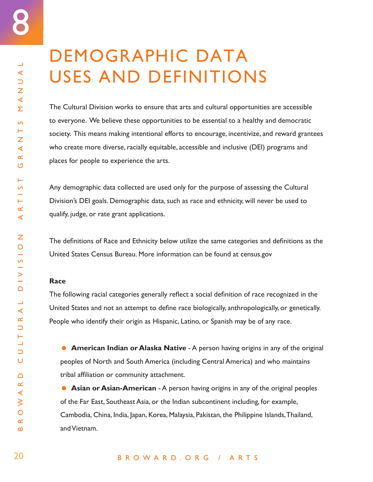$\Box$  $\blacktriangleleft$  $\cup$  $\bar{z}$  $\prec$ Σ

 $\overline{\mathcal{L}}$ Н Z  $\prec$  $\propto$ O

Н  $\overline{a}$ 

Н  $\propto$  $\blacktriangleleft$ 

Ζ

 $\Delta$ 

 $\Box$  $\blacktriangleleft$  $\propto$  $\cup$ Н щ  $\cup$  $\overline{O}$ 

 $\Delta$  $\propto$  $\triangleleft$  $\geq$  $\overline{O}$  $\propto$  $\bf{m}$ 

## DEMOGRAPHIC DATA USES AND DEFINITIONS

The Cultural Division works to ensure that arts and cultural opportunities are accessible to everyone. We believe these opportunities to be essential to a healthy and democratic society. This means making intentional efforts to encourage, incentivize, and reward grantees who create more diverse, racially equitable, accessible and inclusive (DEI) programs and places for people to experience the arts.

Any demographic data collected are used only for the purpose of assessing the Cultural Division's DEI goals. Demographic data, such as race and ethnicity, will never be used to qualify, judge, or rate grant applications.

The definitions of Race and Ethnicity below utilize the same categories and definitions as the United States Census Bureau. More information can be found at census.gov

## **Race**

The following racial categories generally reflect a social definition of race recognized in the United States and not an attempt to define race biologically, anthropologically, or genetically. People who identify their origin as Hispanic, Latino, or Spanish may be of any race.

**American Indian or Alaska Native** - A person having origins in any of the original peoples of North and South America (including Central America) and who maintains tribal affiliation or community attachment.

**Asian or Asian-American** - A person having origins in any of the original peoples of the Far East, Southeast Asia, or the Indian subcontinent including, for example, Cambodia, China, India, Japan, Korea, Malaysia, Pakistan, the Philippine Islands, Thailand, and Vietnam.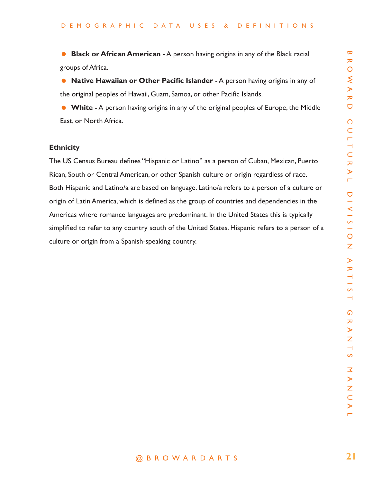**Black or African American** - A person having origins in any of the Black racial groups of Africa.

**• Native Hawaiian or Other Pacific Islander** - A person having origins in any of the original peoples of Hawaii, Guam, Samoa, or other Pacific Islands.

**White - A person having origins in any of the original peoples of Europe, the Middle** East, or North Africa.

## **Ethnicity**

**Example 12**<br> **Confer Pacific Islander - A person having origins in any of**  $\frac{1}{2}$ **<br>
<b>Confer Pacific Islander - A person having origins in any of**  $\frac{1}{2}$ **<br>
A R O Wali, Guam, Samoa, or other Pacific Islands.**<br>
A R O Wali The US Census Bureau defines "Hispanic or Latino" as a person of Cuban, Mexican, Puerto Rican, South or Central American, or other Spanish culture or origin regardless of race. Both Hispanic and Latino/a are based on language. Latino/a refers to a person of a culture or origin of Latin America, which is defined as the group of countries and dependencies in the Americas where romance languages are predominant. In the United States this is typically simplified to refer to any country south of the United States. Hispanic refers to a person of a culture or origin from a Spanish-speaking country.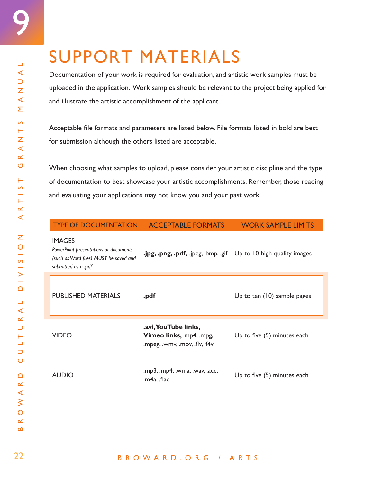Documentation of your work is required for evaluation, and artistic work samples must be uploaded in the application. Work samples should be relevant to the project being applied for and illustrate the artistic accomplishment of the applicant.

Acceptable file formats and parameters are listed below. File formats listed in bold are best for submission although the others listed are acceptable.

When choosing what samples to upload, please consider your artistic discipline and the type of documentation to best showcase your artistic accomplishments. Remember, those reading and evaluating your applications may not know you and your past work.

| <b>TYPE OF DOCUMENTATION</b>                                                                                            | <b>ACCEPTABLE FORMATS</b>                                                        | <b>WORK SAMPLE LIMITS</b>    |
|-------------------------------------------------------------------------------------------------------------------------|----------------------------------------------------------------------------------|------------------------------|
| <b>IMAGES</b><br>PowerPoint presentations or documents<br>(such as Word files) MUST be saved and<br>submitted as a .pdf | .jpg, .png, .pdf, .jpeg, .bmp, .gif                                              | Up to 10 high-quality images |
| <b>PUBLISHED MATERIALS</b>                                                                                              | .pdf                                                                             | Up to ten (10) sample pages  |
| <b>VIDEO</b>                                                                                                            | .avi, You Tube links,<br>Vimeo links, mp4, mpg,<br>.mpeg, .wmv, .mov, .flv, .f4v | Up to five (5) minutes each  |
| <b>AUDIO</b>                                                                                                            | .mp3, .mp4, .wma, .wav, .acc,<br>.m4a, .flac                                     | Up to five (5) minutes each  |

9

 $\overline{\phantom{0}}$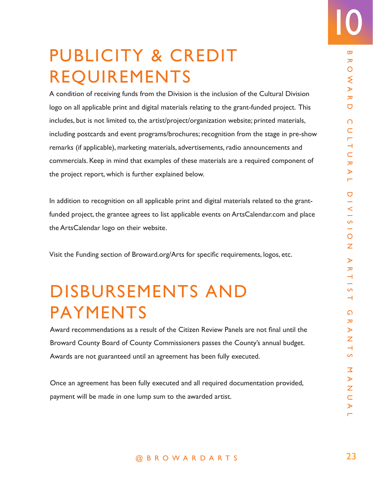## PUBLICITY & CREDIT REQUIREMENTS

**P & CREDIT**<br> **MENTS**  $\frac{1}{2}$ <br> **S** from the Division is the inclusion of the Cultural Division  $\frac{1}{2}$ <br> **d** digital materials relating to the grant-funded project. This<br>
the artistyproject/organization website; printe A condition of receiving funds from the Division is the inclusion of the Cultural Division logo on all applicable print and digital materials relating to the grant-funded project. This includes, but is not limited to, the artist/project/organization website; printed materials, including postcards and event programs/brochures; recognition from the stage in pre-show remarks (if applicable), marketing materials, advertisements, radio announcements and commercials. Keep in mind that examples of these materials are a required component of the project report, which is further explained below.

In addition to recognition on all applicable print and digital materials related to the grantfunded project, the grantee agrees to list applicable events on ArtsCalendar.com and place the ArtsCalendar logo on their website.

Visit the Funding section of Broward.org/Arts for specific requirements, logos, etc.

## DISBURSEMENTS AND PAYMENTS

Award recommendations as a result of the Citizen Review Panels are not final until the Broward County Board of County Commissioners passes the County's annual budget. Awards are not guaranteed until an agreement has been fully executed.

Once an agreement has been fully executed and all required documentation provided, payment will be made in one lump sum to the awarded artist.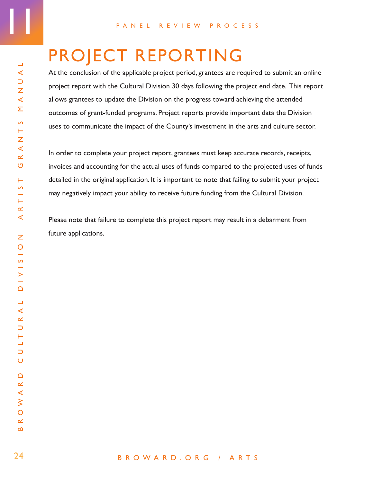## PROJECT REPORTING

At the conclusion of the applicable project period, grantees are required to submit an online project report with the Cultural Division 30 days following the project end date. This report allows grantees to update the Division on the progress toward achieving the attended outcomes of grant-funded programs. Project reports provide important data the Division uses to communicate the impact of the County's investment in the arts and culture sector.

In order to complete your project report, grantees must keep accurate records, receipts, invoices and accounting for the actual uses of funds compared to the projected uses of funds detailed in the original application. It is important to note that failing to submit your project may negatively impact your ability to receive future funding from the Cultural Division.

Please note that failure to complete this project report may result in a debarment from future applications.

11

### BROWARD.ORG / ARTS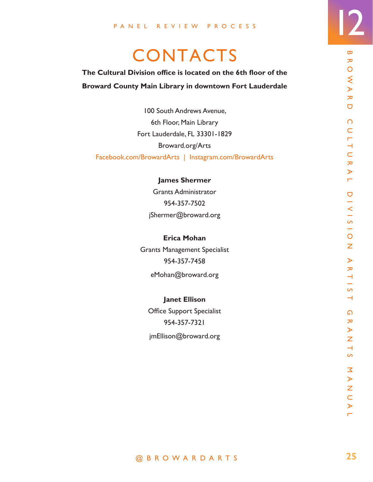## **CONTACTS**

## **The Cultural Division office is located on the 6th floor of the Broward County Main Library in downtown Fort Lauderdale**

**Example 12**<br> **Example 20**<br> **Example 20**<br> **Example 20**<br> **Example 20**<br> **Example 20**<br> **Example 20**<br> **Example 20**<br> **Example 20**<br> **Example 20**<br> **Example 20**<br> **Example 20**<br> **Example 20**<br> **Example 20**<br> **Example 20**<br> **Example 20** 100 South Andrews Avenue, 6th Floor, Main Library Fort Lauderdale, FL 33301-1829 Broward.org/Arts Facebook.com/BrowardArts | Instagram.com/BrowardArts

**James Shermer**

Grants Administrator 954-357-7502 jShermer@broward.org

**Erica Mohan**  Grants Management Specialist 954-357-7458

eMohan@broward.org

**Janet Ellison**  Office Support Specialist

954-357-7321 jmEllison@broward.org 12